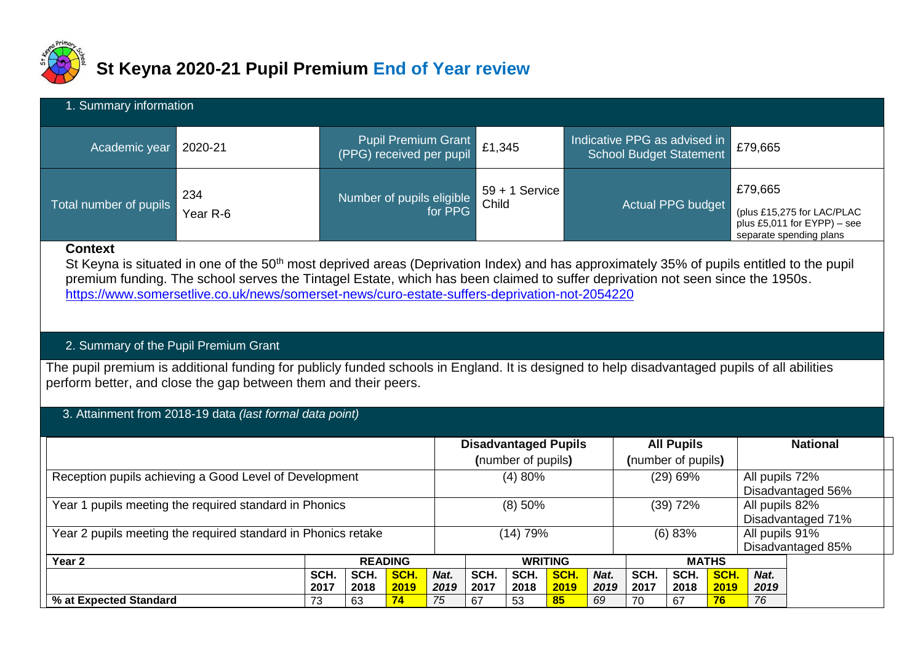

# **St Keyna 2020-21 Pupil Premium End of Year review**

| 1. Summary information |                 |                                                 |                           |                                                         |                                                                                                    |  |  |  |  |  |  |
|------------------------|-----------------|-------------------------------------------------|---------------------------|---------------------------------------------------------|----------------------------------------------------------------------------------------------------|--|--|--|--|--|--|
| Academic year          | 2020-21         | Pupil Premium Grant<br>(PPG) received per pupil | $\vert$ £1,345            | Indicative PPG as advised in<br>School Budget Statement | £79,665                                                                                            |  |  |  |  |  |  |
| Total number of pupils | 234<br>Year R-6 | Number of pupils eligible<br>for PPG            | $59 + 1$ Service<br>Child | Actual PPG budget                                       | £79,665<br>(plus £15,275 for LAC/PLAC<br>plus £5,011 for $EYPP$ ) – see<br>separate spending plans |  |  |  |  |  |  |

### **Context**

St Keyna is situated in one of the 50<sup>th</sup> most deprived areas (Deprivation Index) and has approximately 35% of pupils entitled to the pupil premium funding. The school serves the Tintagel Estate, which has been claimed to suffer deprivation not seen since the 1950s. <https://www.somersetlive.co.uk/news/somerset-news/curo-estate-suffers-deprivation-not-2054220>

## 2. Summary of the Pupil Premium Grant

The pupil premium is additional funding for publicly funded schools in England. It is designed to help disadvantaged pupils of all abilities perform better, and close the gap between them and their peers.

3. Attainment from 2018-19 data *(last formal data point)*

|                                                               |  |    |                |              | <b>Disadvantaged Pupils</b><br>(number of pupils) |                |              |              | <b>All Pupils</b><br>(number of pupils) |              |              | <b>National</b>                     |  |  |
|---------------------------------------------------------------|--|----|----------------|--------------|---------------------------------------------------|----------------|--------------|--------------|-----------------------------------------|--------------|--------------|-------------------------------------|--|--|
| Reception pupils achieving a Good Level of Development        |  |    |                | (4) 80%      |                                                   |                |              |              | (29) 69%                                |              |              | All pupils 72%<br>Disadvantaged 56% |  |  |
| Year 1 pupils meeting the required standard in Phonics        |  |    |                | $(8)$ 50%    |                                                   |                |              |              | $(39)$ 72%                              |              |              | All pupils 82%<br>Disadvantaged 71% |  |  |
| Year 2 pupils meeting the required standard in Phonics retake |  |    |                |              | (14) 79%                                          |                |              |              | (6) 83%                                 |              |              | All pupils 91%<br>Disadvantaged 85% |  |  |
| Year <sub>2</sub>                                             |  |    | <b>READING</b> |              |                                                   | <b>WRITING</b> |              |              | <b>MATHS</b>                            |              |              |                                     |  |  |
| SCH.<br>SCH.<br>SCH.<br>2019<br>2018<br>2017                  |  |    | Nat.<br>2019   | SCH.<br>2017 | SCH.<br>2018                                      | SCH.<br>2019   | Nat.<br>2019 | SCH.<br>2017 | SCH.<br>2018                            | SCH.<br>2019 | Nat.<br>2019 |                                     |  |  |
| 74<br>63<br>% at Expected Standard<br>73                      |  | 75 | 67             | 53           | 85                                                | 69             | 70           | 67           | 76                                      | 76           |              |                                     |  |  |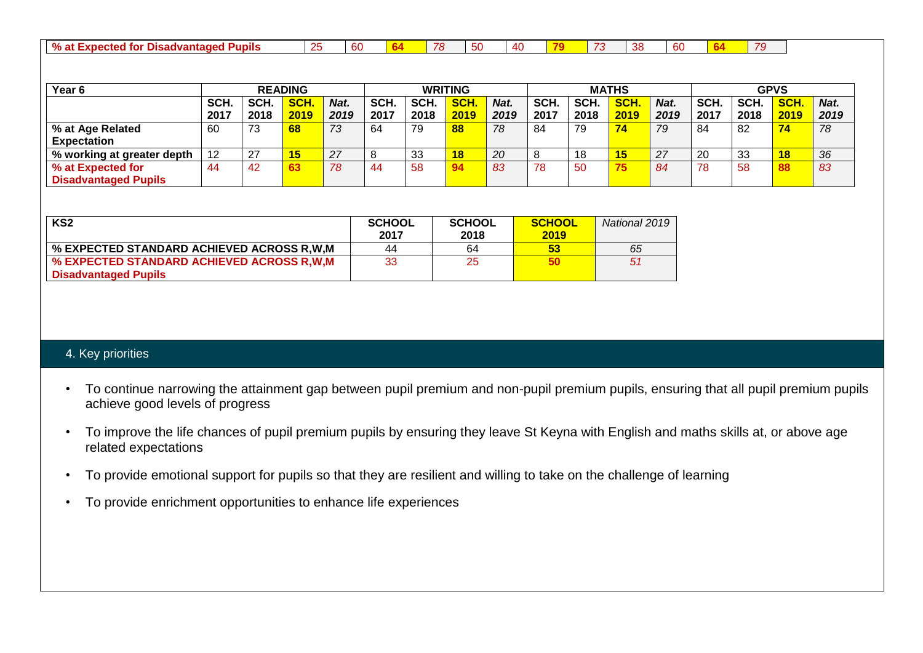| % at<br>d for<br><b>Pupils</b><br>Disadvantaged<br>$EXECUTE: X$<br>uuttu. | . . | ~~<br>n<br>$\cdots$ |  | ___<br>70<br>70 | $ \sim$<br>-<br>v | AC. |  |  | റ്റ<br><br>. . | $\sim$<br>n<br>ື |  |  |  |
|---------------------------------------------------------------------------|-----|---------------------|--|-----------------|-------------------|-----|--|--|----------------|------------------|--|--|--|
|---------------------------------------------------------------------------|-----|---------------------|--|-----------------|-------------------|-----|--|--|----------------|------------------|--|--|--|

| Year <sub>6</sub>           |      | <b>READING</b> |             |      |      | <b>WRITING</b> |      |      | <b>MATHS</b> |      |      |      | <b>GPVS</b> |      |            |      |
|-----------------------------|------|----------------|-------------|------|------|----------------|------|------|--------------|------|------|------|-------------|------|------------|------|
|                             | SCH. | SCH.           | <b>SCH.</b> | Nat. | SCH. | SCH.           | SCH. | Nat. | SCH.         | SCH. | SCH. | Nat. | SCH.        | SCH. | <b>SCH</b> | Nat. |
|                             | 2017 | 2018           | 2019        | 2019 | 2017 | 2018           | 2019 | 2019 | 2017         | 2018 | 2019 | 2019 | 2017        | 2018 | 2019       | 2019 |
| % at Age Related            | 60   | 73             | 68          | 73   | 64   | 79             | 88   | 78   | 84           | 79   |      | 79   | 84          | 82   | 74         | 78   |
| <b>Expectation</b>          |      |                |             |      |      |                |      |      |              |      |      |      |             |      |            |      |
| % working at greater depth  | 12   | 27             | $\sqrt{5}$  | 27   | 8    | 33             | 18   | 20   |              | 18   |      | 27   | 20          | 33   | 18         | 36   |
| % at Expected for           | 44   | 42             |             | 78   | -44  | 58             |      | 83   | 78           | 50   |      | 84   | 78          | 58   | 88         | 83   |
| <b>Disadvantaged Pupils</b> |      |                |             |      |      |                |      |      |              |      |      |      |             |      |            |      |

| KS2                                       | <b>SCHOOL</b><br>2017 | <b>SCHOOL</b><br>2018 | <b>SCHOOL</b><br>2019 | National 2019 |
|-------------------------------------------|-----------------------|-----------------------|-----------------------|---------------|
| % EXPECTED STANDARD ACHIEVED ACROSS R.W.M | 44                    | 64                    | 53                    | 65            |
| % EXPECTED STANDARD ACHIEVED ACROSS R.W.M | 33                    | 25                    | 50                    | 51            |
| <b>Disadvantaged Pupils</b>               |                       |                       |                       |               |

### 4. Key priorities

- To continue narrowing the attainment gap between pupil premium and non-pupil premium pupils, ensuring that all pupil premium pupils achieve good levels of progress
- To improve the life chances of pupil premium pupils by ensuring they leave St Keyna with English and maths skills at, or above age related expectations
- To provide emotional support for pupils so that they are resilient and willing to take on the challenge of learning
- To provide enrichment opportunities to enhance life experiences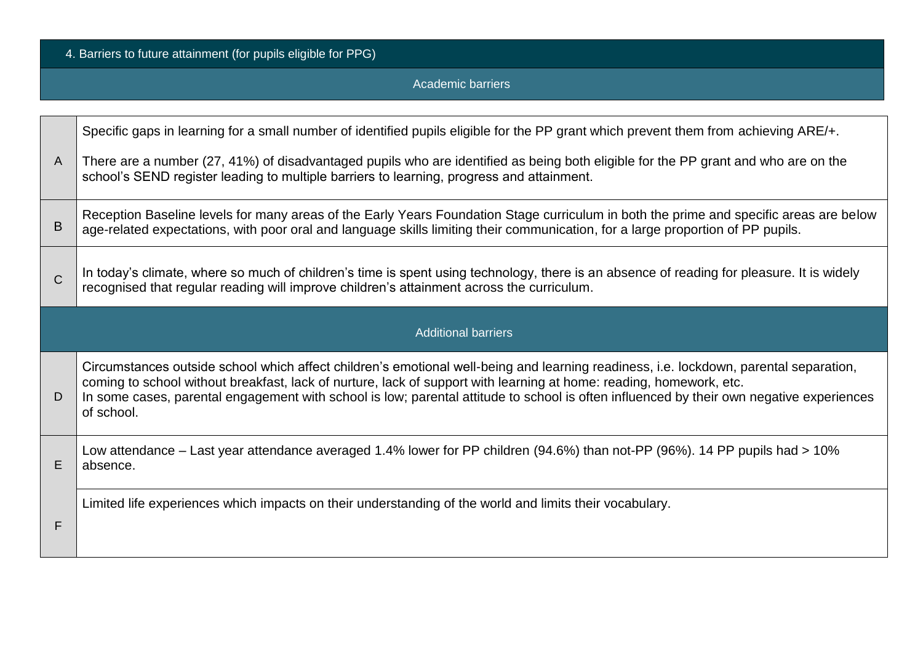4. Barriers to future attainment (for pupils eligible for PPG)

Academic barriers

|              | Specific gaps in learning for a small number of identified pupils eligible for the PP grant which prevent them from achieving ARE/+.                                                                                                                                                                                                                                                                                   |
|--------------|------------------------------------------------------------------------------------------------------------------------------------------------------------------------------------------------------------------------------------------------------------------------------------------------------------------------------------------------------------------------------------------------------------------------|
| $\mathsf{A}$ | There are a number (27, 41%) of disadvantaged pupils who are identified as being both eligible for the PP grant and who are on the<br>school's SEND register leading to multiple barriers to learning, progress and attainment.                                                                                                                                                                                        |
| B            | Reception Baseline levels for many areas of the Early Years Foundation Stage curriculum in both the prime and specific areas are below<br>age-related expectations, with poor oral and language skills limiting their communication, for a large proportion of PP pupils.                                                                                                                                              |
| $\mathsf{C}$ | In today's climate, where so much of children's time is spent using technology, there is an absence of reading for pleasure. It is widely<br>recognised that regular reading will improve children's attainment across the curriculum.                                                                                                                                                                                 |
|              | <b>Additional barriers</b>                                                                                                                                                                                                                                                                                                                                                                                             |
| D            | Circumstances outside school which affect children's emotional well-being and learning readiness, i.e. lockdown, parental separation,<br>coming to school without breakfast, lack of nurture, lack of support with learning at home: reading, homework, etc.<br>In some cases, parental engagement with school is low; parental attitude to school is often influenced by their own negative experiences<br>of school. |
| E            | Low attendance – Last year attendance averaged 1.4% lower for PP children (94.6%) than not-PP (96%). 14 PP pupils had > 10%<br>absence.                                                                                                                                                                                                                                                                                |
| F            | Limited life experiences which impacts on their understanding of the world and limits their vocabulary.                                                                                                                                                                                                                                                                                                                |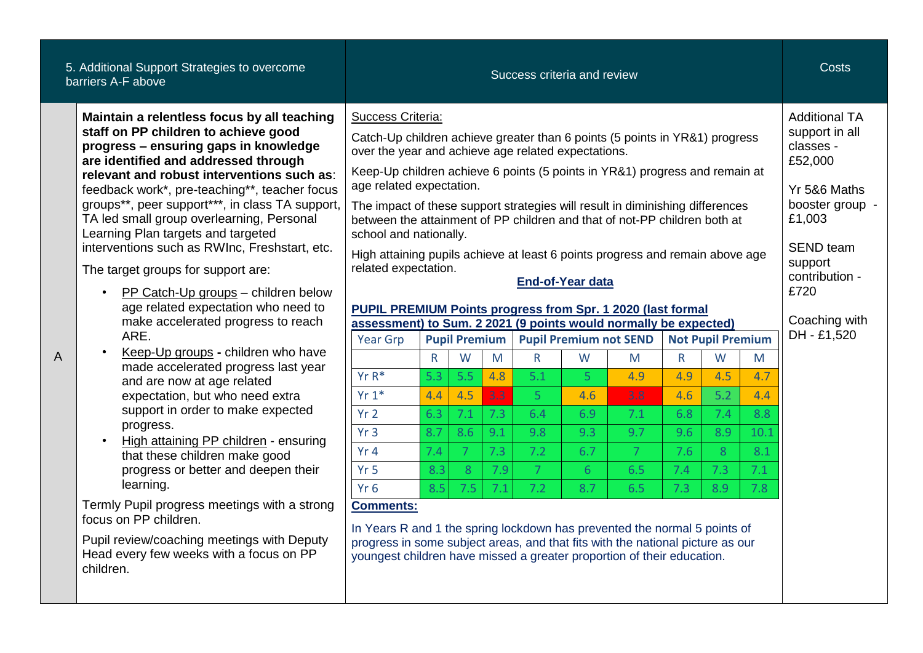| 5. Additional Support Strategies to overcome<br>barriers A-F above                                                                                                                                                                                                                                                                                                                                                                                                                                                                                                                                                                                                                                                                                                                                                                                                                                                                                                                                                                                                                                                                                          |                                                                                                                                                                                                                                                                                                                                                                                                                                                                                                                                                                                                                                                                                                                                                                                                                                                                                                                                                                                                                                                                                                        |                                                               |                                                                                    |                                                    |                                                                         | Success criteria and review                                                                                |                                                               |                                                     |                                                                              |                                                     | <b>Costs</b>                                                                                                                                                                                         |
|-------------------------------------------------------------------------------------------------------------------------------------------------------------------------------------------------------------------------------------------------------------------------------------------------------------------------------------------------------------------------------------------------------------------------------------------------------------------------------------------------------------------------------------------------------------------------------------------------------------------------------------------------------------------------------------------------------------------------------------------------------------------------------------------------------------------------------------------------------------------------------------------------------------------------------------------------------------------------------------------------------------------------------------------------------------------------------------------------------------------------------------------------------------|--------------------------------------------------------------------------------------------------------------------------------------------------------------------------------------------------------------------------------------------------------------------------------------------------------------------------------------------------------------------------------------------------------------------------------------------------------------------------------------------------------------------------------------------------------------------------------------------------------------------------------------------------------------------------------------------------------------------------------------------------------------------------------------------------------------------------------------------------------------------------------------------------------------------------------------------------------------------------------------------------------------------------------------------------------------------------------------------------------|---------------------------------------------------------------|------------------------------------------------------------------------------------|----------------------------------------------------|-------------------------------------------------------------------------|------------------------------------------------------------------------------------------------------------|---------------------------------------------------------------|-----------------------------------------------------|------------------------------------------------------------------------------|-----------------------------------------------------|------------------------------------------------------------------------------------------------------------------------------------------------------------------------------------------------------|
| Maintain a relentless focus by all teaching<br>staff on PP children to achieve good<br>progress - ensuring gaps in knowledge<br>are identified and addressed through<br>relevant and robust interventions such as:<br>feedback work*, pre-teaching**, teacher focus<br>groups**, peer support***, in class TA support,<br>TA led small group overlearning, Personal<br>Learning Plan targets and targeted<br>interventions such as RWInc, Freshstart, etc.<br>The target groups for support are:<br>PP Catch-Up groups - children below<br>$\bullet$<br>age related expectation who need to<br>make accelerated progress to reach<br>ARE.<br>Keep-Up groups - children who have<br>A<br>made accelerated progress last year<br>and are now at age related<br>expectation, but who need extra<br>support in order to make expected<br>progress.<br>High attaining PP children - ensuring<br>that these children make good<br>progress or better and deepen their<br>learning.<br>Termly Pupil progress meetings with a strong<br>focus on PP children.<br>Pupil review/coaching meetings with Deputy<br>Head every few weeks with a focus on PP<br>children. | Success Criteria:<br>Catch-Up children achieve greater than 6 points (5 points in YR&1) progress<br>over the year and achieve age related expectations.<br>Keep-Up children achieve 6 points (5 points in YR&1) progress and remain at<br>age related expectation.<br>The impact of these support strategies will result in diminishing differences<br>between the attainment of PP children and that of not-PP children both at<br>school and nationally.<br>High attaining pupils achieve at least 6 points progress and remain above age<br>related expectation.<br><b>PUPIL PREMIUM Points progress from Spr. 1 2020 (last formal</b><br>assessment) to Sum. 2 2021 (9 points would normally be expected)<br><b>Year Grp</b><br>$Yr R*$<br>$Yr 1*$<br>Yr <sub>2</sub><br>Yr <sub>3</sub><br>Yr4<br>Yr <sub>5</sub><br>Yr <sub>6</sub><br><b>Comments:</b><br>In Years R and 1 the spring lockdown has prevented the normal 5 points of<br>progress in some subject areas, and that fits with the national picture as our<br>youngest children have missed a greater proportion of their education. | $\mathsf{R}$<br>5.3<br>4.4<br>6.3<br>8.7<br>7.4<br>8.3<br>8.5 | <b>Pupil Premium</b><br>W<br>5.5<br>4.5<br>7.1<br>8.6<br>$\mathcal{I}$<br>8<br>7.5 | M<br>4.8<br>3.3<br>7.3<br>9.1<br>7.3<br>7.9<br>7.1 | $\mathsf{R}$<br>5.1<br>-5<br>6.4<br>9.8<br>7.2<br>$\overline{7}$<br>7.2 | <b>End-of-Year data</b><br><b>Pupil Premium not SEND</b><br>W<br>5<br>4.6<br>6.9<br>9.3<br>6.7<br>6<br>8.7 | M<br>4.9<br>3.8<br>7.1<br>9.7<br>$\overline{7}$<br>6.5<br>6.5 | R.<br>4.9<br>4.6<br>6.8<br>9.6<br>7.6<br>7.4<br>7.3 | <b>Not Pupil Premium</b><br>W<br>4.5<br>5.2<br>7.4<br>8.9<br>8<br>7.3<br>8.9 | M<br>4.7<br>4.4<br>8.8<br>10.1<br>8.1<br>7.1<br>7.8 | <b>Additional TA</b><br>support in all<br>classes -<br>£52,000<br>Yr 5&6 Maths<br>booster group -<br>£1,003<br><b>SEND</b> team<br>support<br>contribution -<br>£720<br>Coaching with<br>DH - £1,520 |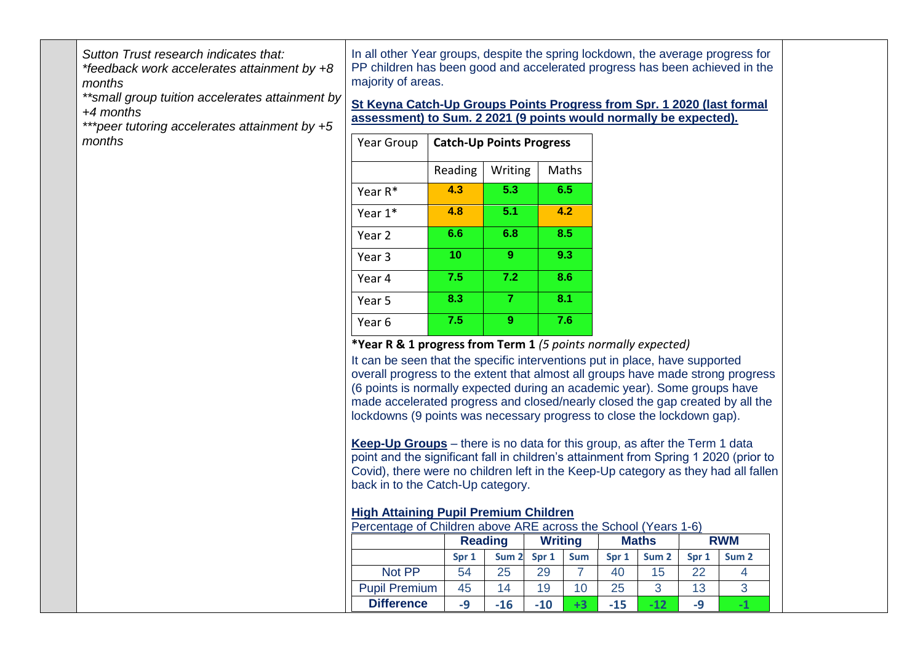*Sutton Trust research indicates that:* 

*\*feedback work accelerates attainment by +8 months* 

*\*\*small group tuition accelerates attainment by +4 months* 

*\*\*\*peer tutoring accelerates attainment by +5 months* 

In all other Year groups, despite the spring lockdown, the average progress for PP children has been good and accelerated progress has been achieved in the majority of areas.

**St Keyna Catch-Up Groups Points Progress from Spr. 1 2020 (last formal assessment) to Sum. 2 2021 (9 points would normally be expected).**

| Year Group |         | <b>Catch-Up Points Progress</b> |       |
|------------|---------|---------------------------------|-------|
|            | Reading | Writing                         | Maths |
| Year $R^*$ | 4.3     | 5.3                             | 6.5   |
| Year 1*    | 4.8     | 5.1                             | 4.2   |
| Year 2     | 6.6     | 6.8                             | 8.5   |
| Year 3     | 10      | 9                               | 9.3   |
| Year 4     | 7.5     | 7.2                             | 8.6   |
| Year 5     | 8.3     | 7                               | 8.1   |
| Year 6     | 7.5     | 9                               | 7.6   |

#### **\*Year R & 1 progress from Term 1** *(5 points normally expected)*

It can be seen that the specific interventions put in place, have supported overall progress to the extent that almost all groups have made strong progress (6 points is normally expected during an academic year). Some groups have made accelerated progress and closed/nearly closed the gap created by all the lockdowns (9 points was necessary progress to close the lockdown gap).

**Keep-Up Groups** – there is no data for this group, as after the Term 1 data point and the significant fall in children's attainment from Spring 1 2020 (prior to Covid), there were no children left in the Keep-Up category as they had all fallen back in to the Catch-Up category.

#### **High Attaining Pupil Premium Children**

| Percentage of Children above ARE across the School (Years 1-6)                                             |                |       |                |                 |              |            |    |    |
|------------------------------------------------------------------------------------------------------------|----------------|-------|----------------|-----------------|--------------|------------|----|----|
|                                                                                                            | <b>Reading</b> |       | <b>Writing</b> |                 | <b>Maths</b> | <b>RWM</b> |    |    |
| <b>Sum</b><br>Sum <sub>2</sub><br>Spr 1<br>Sum <sub>2</sub><br>Spr 1<br>Sum <sub>2</sub><br>Spr 1<br>Spr 1 |                |       |                |                 |              |            |    |    |
| Not PP                                                                                                     | 54             | 25    | 29             |                 | 40           | 15         | 22 | 4  |
| <b>Pupil Premium</b>                                                                                       | 45             | 14    | 19             | 10 <sup>1</sup> | 25           | -2         | 13 | 3  |
| <b>Difference</b>                                                                                          | -9             | $-16$ | $-10$          | $+3$            | $-15$        | $-12$      | -9 | -1 |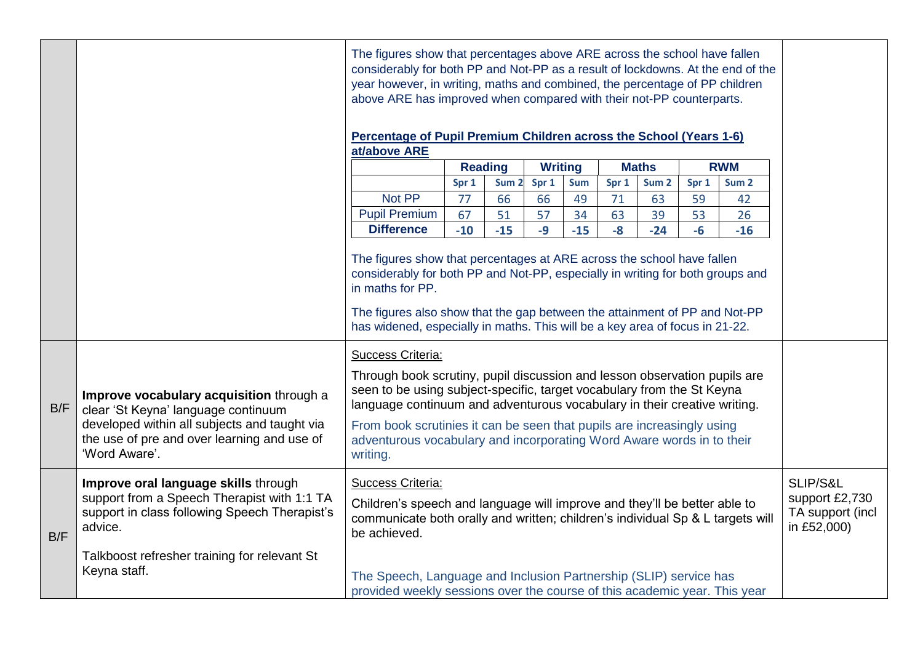|     |                                                                                                                                                                                                                                                                                                                                                            |                                                                                                                                                                                                                                                                                                                                            | The figures show that percentages above ARE across the school have fallen<br>considerably for both PP and Not-PP as a result of lockdowns. At the end of the<br>year however, in writing, maths and combined, the percentage of PP children<br>above ARE has improved when compared with their not-PP counterparts.<br>Percentage of Pupil Premium Children across the School (Years 1-6) |       |      |       |      |       |      |       |                                                               |  |
|-----|------------------------------------------------------------------------------------------------------------------------------------------------------------------------------------------------------------------------------------------------------------------------------------------------------------------------------------------------------------|--------------------------------------------------------------------------------------------------------------------------------------------------------------------------------------------------------------------------------------------------------------------------------------------------------------------------------------------|-------------------------------------------------------------------------------------------------------------------------------------------------------------------------------------------------------------------------------------------------------------------------------------------------------------------------------------------------------------------------------------------|-------|------|-------|------|-------|------|-------|---------------------------------------------------------------|--|
|     |                                                                                                                                                                                                                                                                                                                                                            |                                                                                                                                                                                                                                                                                                                                            | at/above ARE                                                                                                                                                                                                                                                                                                                                                                              |       |      |       |      |       |      |       |                                                               |  |
|     |                                                                                                                                                                                                                                                                                                                                                            |                                                                                                                                                                                                                                                                                                                                            | <b>Reading</b><br><b>Maths</b><br><b>RWM</b><br><b>Writing</b><br>Spr 1<br>Sum <sub>2</sub><br>Spr 1<br>Sum<br>Sum <sub>2</sub><br>Spr 1<br>Spr 1<br>Sum <sub>2</sub>                                                                                                                                                                                                                     |       |      |       |      |       |      |       |                                                               |  |
|     |                                                                                                                                                                                                                                                                                                                                                            | Not PP                                                                                                                                                                                                                                                                                                                                     | 77                                                                                                                                                                                                                                                                                                                                                                                        | 66    | 66   | 49    | 71   | 63    | 59   | 42    |                                                               |  |
|     |                                                                                                                                                                                                                                                                                                                                                            | <b>Pupil Premium</b>                                                                                                                                                                                                                                                                                                                       | 67                                                                                                                                                                                                                                                                                                                                                                                        | 51    | 57   | 34    | 63   | 39    | 53   | 26    |                                                               |  |
|     |                                                                                                                                                                                                                                                                                                                                                            | <b>Difference</b>                                                                                                                                                                                                                                                                                                                          | $-10$                                                                                                                                                                                                                                                                                                                                                                                     | $-15$ | $-9$ | $-15$ | $-8$ | $-24$ | $-6$ | $-16$ |                                                               |  |
|     |                                                                                                                                                                                                                                                                                                                                                            | The figures show that percentages at ARE across the school have fallen<br>considerably for both PP and Not-PP, especially in writing for both groups and<br>in maths for PP.<br>The figures also show that the gap between the attainment of PP and Not-PP<br>has widened, especially in maths. This will be a key area of focus in 21-22. |                                                                                                                                                                                                                                                                                                                                                                                           |       |      |       |      |       |      |       |                                                               |  |
| B/F | Improve vocabulary acquisition through a<br>clear 'St Keyna' language continuum<br>developed within all subjects and taught via<br>the use of pre and over learning and use of<br>'Word Aware'.                                                                                                                                                            | Success Criteria:<br>writing.                                                                                                                                                                                                                                                                                                              | Through book scrutiny, pupil discussion and lesson observation pupils are<br>seen to be using subject-specific, target vocabulary from the St Keyna<br>language continuum and adventurous vocabulary in their creative writing.<br>From book scrutinies it can be seen that pupils are increasingly using<br>adventurous vocabulary and incorporating Word Aware words in to their        |       |      |       |      |       |      |       |                                                               |  |
| B/F | Improve oral language skills through<br><b>Success Criteria:</b><br>support from a Speech Therapist with 1:1 TA<br>Children's speech and language will improve and they'll be better able to<br>support in class following Speech Therapist's<br>communicate both orally and written; children's individual Sp & L targets will<br>advice.<br>be achieved. |                                                                                                                                                                                                                                                                                                                                            |                                                                                                                                                                                                                                                                                                                                                                                           |       |      |       |      |       |      |       | SLIP/S&L<br>support £2,730<br>TA support (incl<br>in £52,000) |  |
|     | Talkboost refresher training for relevant St<br>Keyna staff.                                                                                                                                                                                                                                                                                               | The Speech, Language and Inclusion Partnership (SLIP) service has<br>provided weekly sessions over the course of this academic year. This year                                                                                                                                                                                             |                                                                                                                                                                                                                                                                                                                                                                                           |       |      |       |      |       |      |       |                                                               |  |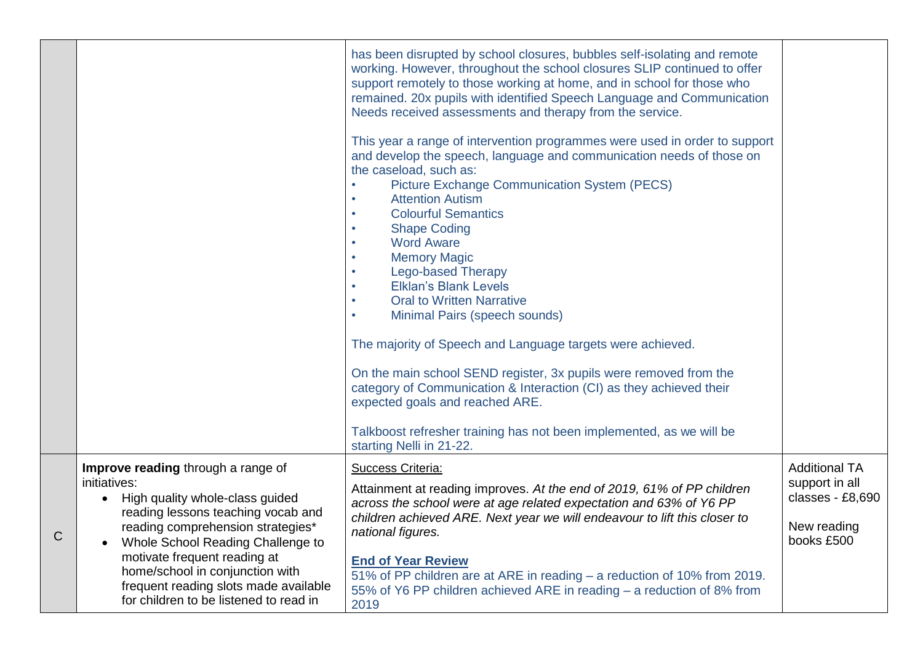|   |                                                                                                                                                                                                                                                                                                                                                             | has been disrupted by school closures, bubbles self-isolating and remote<br>working. However, throughout the school closures SLIP continued to offer<br>support remotely to those working at home, and in school for those who<br>remained. 20x pupils with identified Speech Language and Communication<br>Needs received assessments and therapy from the service.<br>This year a range of intervention programmes were used in order to support<br>and develop the speech, language and communication needs of those on<br>the caseload, such as:<br><b>Picture Exchange Communication System (PECS)</b><br><b>Attention Autism</b><br>$\bullet$<br><b>Colourful Semantics</b><br><b>Shape Coding</b><br>$\bullet$<br><b>Word Aware</b><br><b>Memory Magic</b><br><b>Lego-based Therapy</b><br><b>Elklan's Blank Levels</b><br><b>Oral to Written Narrative</b><br>$\bullet$<br>Minimal Pairs (speech sounds)<br>$\bullet$<br>The majority of Speech and Language targets were achieved.<br>On the main school SEND register, 3x pupils were removed from the<br>category of Communication & Interaction (CI) as they achieved their<br>expected goals and reached ARE.<br>Talkboost refresher training has not been implemented, as we will be<br>starting Nelli in 21-22. |                                                                                         |
|---|-------------------------------------------------------------------------------------------------------------------------------------------------------------------------------------------------------------------------------------------------------------------------------------------------------------------------------------------------------------|--------------------------------------------------------------------------------------------------------------------------------------------------------------------------------------------------------------------------------------------------------------------------------------------------------------------------------------------------------------------------------------------------------------------------------------------------------------------------------------------------------------------------------------------------------------------------------------------------------------------------------------------------------------------------------------------------------------------------------------------------------------------------------------------------------------------------------------------------------------------------------------------------------------------------------------------------------------------------------------------------------------------------------------------------------------------------------------------------------------------------------------------------------------------------------------------------------------------------------------------------------------------------------|-----------------------------------------------------------------------------------------|
| C | Improve reading through a range of<br>initiatives:<br>High quality whole-class guided<br>reading lessons teaching vocab and<br>reading comprehension strategies*<br>Whole School Reading Challenge to<br>motivate frequent reading at<br>home/school in conjunction with<br>frequent reading slots made available<br>for children to be listened to read in | <b>Success Criteria:</b><br>Attainment at reading improves. At the end of 2019, 61% of PP children<br>across the school were at age related expectation and 63% of Y6 PP<br>children achieved ARE. Next year we will endeavour to lift this closer to<br>national figures.<br><b>End of Year Review</b><br>51% of PP children are at ARE in reading - a reduction of 10% from 2019.<br>55% of Y6 PP children achieved ARE in reading – a reduction of 8% from<br>2019                                                                                                                                                                                                                                                                                                                                                                                                                                                                                                                                                                                                                                                                                                                                                                                                          | <b>Additional TA</b><br>support in all<br>classes - £8,690<br>New reading<br>books £500 |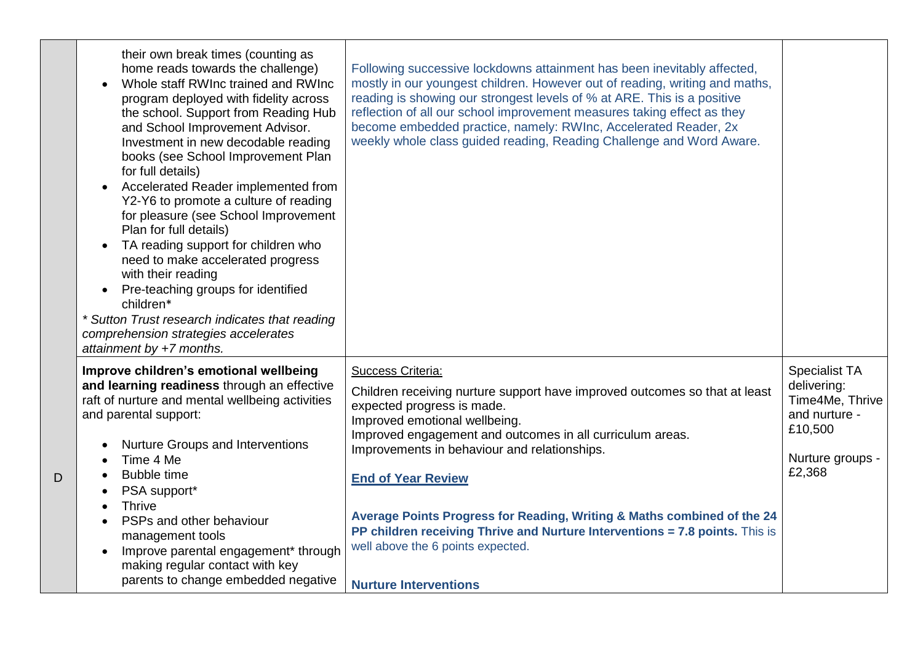|   | their own break times (counting as<br>home reads towards the challenge)<br>Whole staff RWInc trained and RWInc<br>program deployed with fidelity across<br>the school. Support from Reading Hub<br>and School Improvement Advisor.<br>Investment in new decodable reading<br>books (see School Improvement Plan<br>for full details)<br>Accelerated Reader implemented from<br>$\bullet$<br>Y2-Y6 to promote a culture of reading<br>for pleasure (see School Improvement<br>Plan for full details)<br>TA reading support for children who<br>$\bullet$<br>need to make accelerated progress<br>with their reading<br>Pre-teaching groups for identified<br>$\bullet$<br>children*<br>* Sutton Trust research indicates that reading<br>comprehension strategies accelerates<br>attainment by $+7$ months. | Following successive lockdowns attainment has been inevitably affected,<br>mostly in our youngest children. However out of reading, writing and maths,<br>reading is showing our strongest levels of % at ARE. This is a positive<br>reflection of all our school improvement measures taking effect as they<br>become embedded practice, namely: RWInc, Accelerated Reader, 2x<br>weekly whole class guided reading, Reading Challenge and Word Aware. |                                             |
|---|------------------------------------------------------------------------------------------------------------------------------------------------------------------------------------------------------------------------------------------------------------------------------------------------------------------------------------------------------------------------------------------------------------------------------------------------------------------------------------------------------------------------------------------------------------------------------------------------------------------------------------------------------------------------------------------------------------------------------------------------------------------------------------------------------------|---------------------------------------------------------------------------------------------------------------------------------------------------------------------------------------------------------------------------------------------------------------------------------------------------------------------------------------------------------------------------------------------------------------------------------------------------------|---------------------------------------------|
|   | Improve children's emotional wellbeing<br>and learning readiness through an effective                                                                                                                                                                                                                                                                                                                                                                                                                                                                                                                                                                                                                                                                                                                      | Success Criteria:<br>Children receiving nurture support have improved outcomes so that at least                                                                                                                                                                                                                                                                                                                                                         | <b>Specialist TA</b><br>delivering:         |
|   | raft of nurture and mental wellbeing activities<br>and parental support:                                                                                                                                                                                                                                                                                                                                                                                                                                                                                                                                                                                                                                                                                                                                   | expected progress is made.<br>Improved emotional wellbeing.                                                                                                                                                                                                                                                                                                                                                                                             | Time4Me, Thrive<br>and nurture -<br>£10,500 |
|   | <b>Nurture Groups and Interventions</b><br>Time 4 Me                                                                                                                                                                                                                                                                                                                                                                                                                                                                                                                                                                                                                                                                                                                                                       | Improved engagement and outcomes in all curriculum areas.<br>Improvements in behaviour and relationships.                                                                                                                                                                                                                                                                                                                                               | Nurture groups -                            |
| D | <b>Bubble time</b><br>PSA support*                                                                                                                                                                                                                                                                                                                                                                                                                                                                                                                                                                                                                                                                                                                                                                         | <b>End of Year Review</b>                                                                                                                                                                                                                                                                                                                                                                                                                               | £2,368                                      |
|   | <b>Thrive</b><br>PSPs and other behaviour                                                                                                                                                                                                                                                                                                                                                                                                                                                                                                                                                                                                                                                                                                                                                                  | Average Points Progress for Reading, Writing & Maths combined of the 24<br>PP children receiving Thrive and Nurture Interventions = 7.8 points. This is                                                                                                                                                                                                                                                                                                 |                                             |
|   | management tools<br>Improve parental engagement* through<br>$\bullet$<br>making regular contact with key                                                                                                                                                                                                                                                                                                                                                                                                                                                                                                                                                                                                                                                                                                   | well above the 6 points expected.                                                                                                                                                                                                                                                                                                                                                                                                                       |                                             |
|   | parents to change embedded negative                                                                                                                                                                                                                                                                                                                                                                                                                                                                                                                                                                                                                                                                                                                                                                        | <b>Nurture Interventions</b>                                                                                                                                                                                                                                                                                                                                                                                                                            |                                             |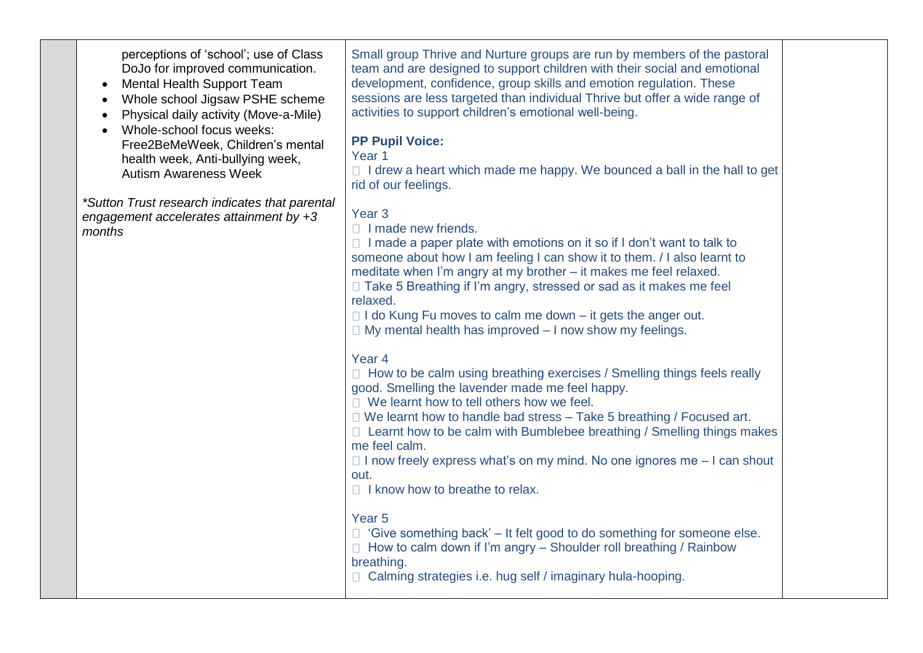perceptions of 'school'; use of Class DoJo for improved communication.

- Mental Health Support Team
- Whole school Jigsaw PSHE scheme
- Physical daily activity (Move-a-Mile)
- Whole-school focus weeks: Free2BeMeWeek, Children's mental health week, Anti-bullying week, Autism Awareness Week

*\*Sutton Trust research indicates that parental engagement accelerates attainment by +3 months* 

Small group Thrive and Nurture groups are run by members of the pastoral team and are designed to support children with their social and emotional development, confidence, group skills and emotion regulation. These sessions are less targeted than individual Thrive but offer a wide range of activities to support children's emotional well-being.

# **PP Pupil Voice:**

#### Year 1

 $\Box$  I drew a heart which made me happy. We bounced a ball in the hall to get rid of our feelings.

# Year 3

 $\Box$  I made new friends.

 $\Box$  I made a paper plate with emotions on it so if I don't want to talk to someone about how I am feeling I can show it to them. / I also learnt to meditate when I'm angry at my brother – it makes me feel relaxed.  $\Box$  Take 5 Breathing if I'm angry, stressed or sad as it makes me feel relaxed.

 $\Box$  I do Kung Fu moves to calm me down – it gets the anger out.

 $\Box$  My mental health has improved  $-$  I now show my feelings.

# Year 4

 $\Box$  How to be calm using breathing exercises / Smelling things feels really good. Smelling the lavender made me feel happy.

 $\Box$  We learnt how to tell others how we feel.

 $\Box$  We learnt how to handle bad stress  $-$  Take 5 breathing / Focused art.

 $\Box$  Learnt how to be calm with Bumblebee breathing / Smelling things makes me feel calm.

 $\Box$  I now freely express what's on my mind. No one ignores me  $-$  I can shout out.

 $\Box$  I know how to breathe to relax.

# Year 5

 $\Box$  'Give something back' – It felt good to do something for someone else.

 $\Box$  How to calm down if I'm angry – Shoulder roll breathing / Rainbow breathing.

□ Calming strategies i.e. hug self / imaginary hula-hooping.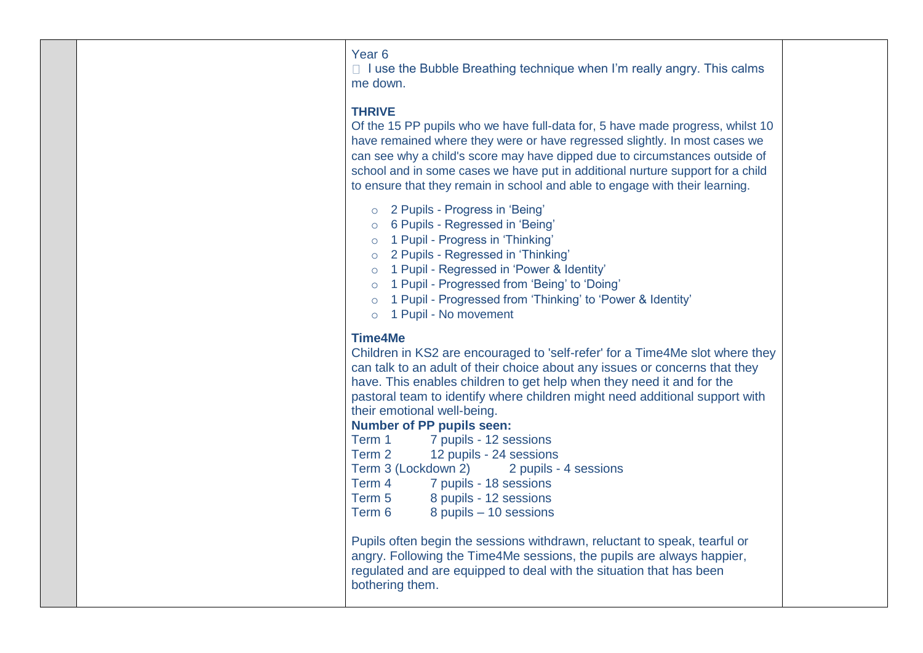Year 6

 $\Box$  I use the Bubble Breathing technique when I'm really angry. This calms me down.

### **THRIVE**

Of the 15 PP pupils who we have full-data for, 5 have made progress, whilst 10 have remained where they were or have regressed slightly. In most cases we can see why a child's score may have dipped due to circumstances outside of school and in some cases we have put in additional nurture support for a child to ensure that they remain in school and able to engage with their learning.

- o 2 Pupils Progress in 'Being'
- o 6 Pupils Regressed in 'Being'
- o 1 Pupil Progress in 'Thinking'
- o 2 Pupils Regressed in 'Thinking'
- o 1 Pupil Regressed in 'Power & Identity'
- o 1 Pupil Progressed from 'Being' to 'Doing'
- o 1 Pupil Progressed from 'Thinking' to 'Power & Identity'
- o 1 Pupil No movement

### **Time4Me**

Children in KS2 are encouraged to 'self-refer' for a Time4Me slot where they can talk to an adult of their choice about any issues or concerns that they have. This enables children to get help when they need it and for the pastoral team to identify where children might need additional support with their emotional well-being.

### **Number of PP pupils seen:**

Term 1 7 pupils - 12 sessions Term 2 12 pupils - 24 sessions Term 3 (Lockdown 2) 2 pupils - 4 sessions Term 4 7 pupils - 18 sessions Term 5 8 pupils - 12 sessions Term 6 8 pupils – 10 sessions

Pupils often begin the sessions withdrawn, reluctant to speak, tearful or angry. Following the Time4Me sessions, the pupils are always happier, regulated and are equipped to deal with the situation that has been bothering them.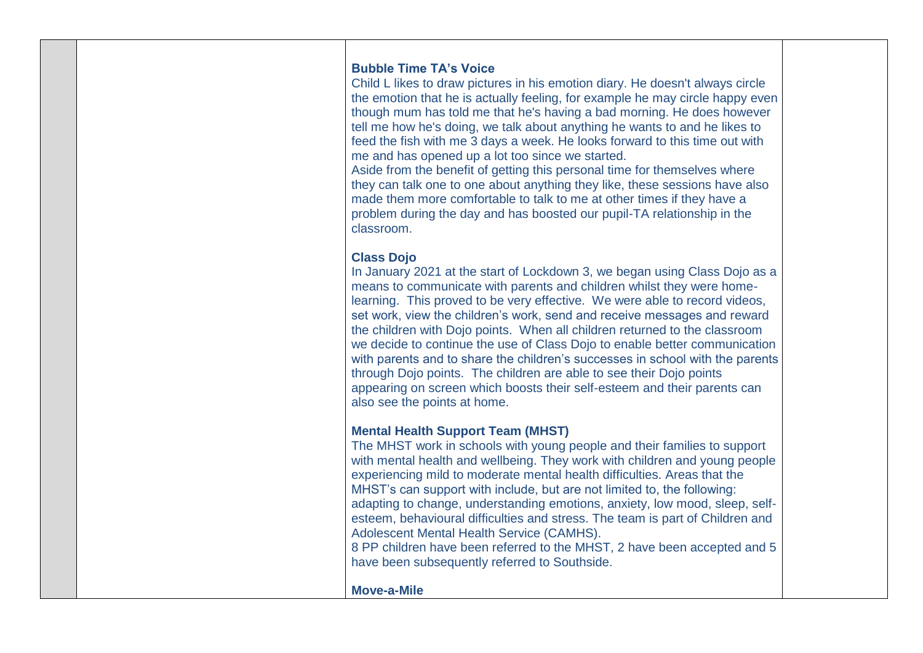#### **Bubble Time TA's Voice**

Child L likes to draw pictures in his emotion diary. He doesn't always circle the emotion that he is actually feeling, for example he may circle happy even though mum has told me that he's having a bad morning. He does however tell me how he's doing, we talk about anything he wants to and he likes to feed the fish with me 3 days a week. He looks forward to this time out with me and has opened up a lot too since we started.

Aside from the benefit of getting this personal time for themselves where they can talk one to one about anything they like, these sessions have also made them more comfortable to talk to me at other times if they have a problem during the day and has boosted our pupil-TA relationship in the classroom.

### **Class Dojo**

In January 2021 at the start of Lockdown 3, we began using Class Dojo as a means to communicate with parents and children whilst they were homelearning. This proved to be very effective. We were able to record videos, set work, view the children's work, send and receive messages and reward the children with Dojo points. When all children returned to the classroom we decide to continue the use of Class Dojo to enable better communication with parents and to share the children's successes in school with the parents through Dojo points. The children are able to see their Dojo points appearing on screen which boosts their self-esteem and their parents can also see the points at home.

### **Mental Health Support Team (MHST)**

The MHST work in schools with young people and their families to support with mental health and wellbeing. They work with children and young people experiencing mild to moderate mental health difficulties. Areas that the MHST's can support with include, but are not limited to, the following: adapting to change, understanding emotions, anxiety, low mood, sleep, selfesteem, behavioural difficulties and stress. The team is part of Children and Adolescent Mental Health Service (CAMHS).

8 PP children have been referred to the MHST, 2 have been accepted and 5 have been subsequently referred to Southside.

#### **Move-a-Mile**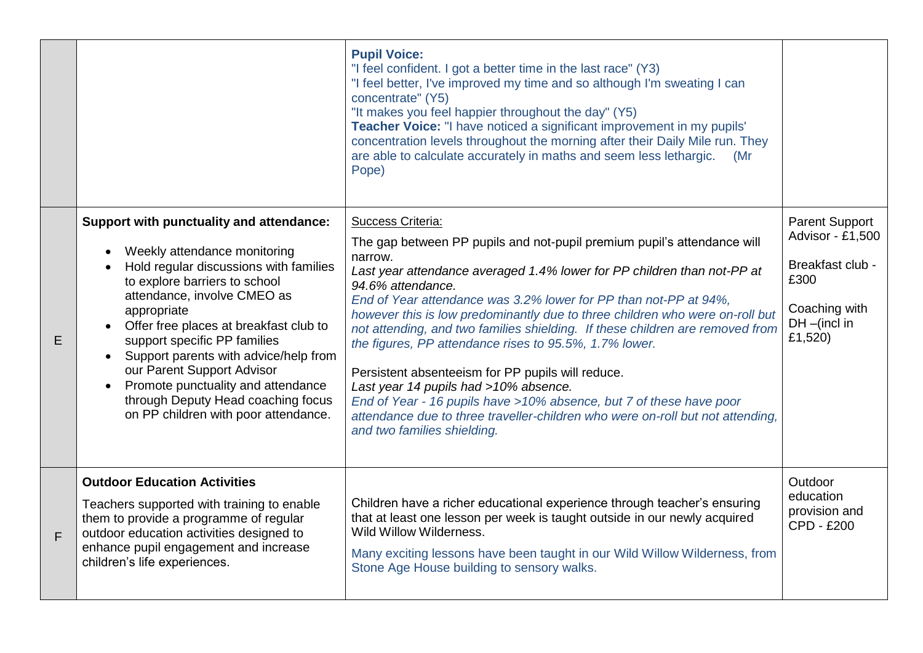|   |                                                                                                                                                                                                                                                                                                                                                                                                                                                                        | <b>Pupil Voice:</b><br>"I feel confident. I got a better time in the last race" (Y3)<br>"I feel better, I've improved my time and so although I'm sweating I can<br>concentrate" (Y5)<br>"It makes you feel happier throughout the day" (Y5)<br>Teacher Voice: "I have noticed a significant improvement in my pupils'<br>concentration levels throughout the morning after their Daily Mile run. They<br>are able to calculate accurately in maths and seem less lethargic.<br>(Mr<br>Pope)                                                                                                                                                                                                                                                                                                  |                                                                                                                     |
|---|------------------------------------------------------------------------------------------------------------------------------------------------------------------------------------------------------------------------------------------------------------------------------------------------------------------------------------------------------------------------------------------------------------------------------------------------------------------------|-----------------------------------------------------------------------------------------------------------------------------------------------------------------------------------------------------------------------------------------------------------------------------------------------------------------------------------------------------------------------------------------------------------------------------------------------------------------------------------------------------------------------------------------------------------------------------------------------------------------------------------------------------------------------------------------------------------------------------------------------------------------------------------------------|---------------------------------------------------------------------------------------------------------------------|
| E | Support with punctuality and attendance:<br>Weekly attendance monitoring<br>Hold regular discussions with families<br>to explore barriers to school<br>attendance, involve CMEO as<br>appropriate<br>Offer free places at breakfast club to<br>support specific PP families<br>Support parents with advice/help from<br>our Parent Support Advisor<br>Promote punctuality and attendance<br>through Deputy Head coaching focus<br>on PP children with poor attendance. | Success Criteria:<br>The gap between PP pupils and not-pupil premium pupil's attendance will<br>narrow.<br>Last year attendance averaged 1.4% lower for PP children than not-PP at<br>94.6% attendance.<br>End of Year attendance was 3.2% lower for PP than not-PP at 94%,<br>however this is low predominantly due to three children who were on-roll but<br>not attending, and two families shielding. If these children are removed from<br>the figures, PP attendance rises to 95.5%, 1.7% lower.<br>Persistent absenteeism for PP pupils will reduce.<br>Last year 14 pupils had >10% absence.<br>End of Year - 16 pupils have > 10% absence, but 7 of these have poor<br>attendance due to three traveller-children who were on-roll but not attending,<br>and two families shielding. | <b>Parent Support</b><br>Advisor - £1,500<br>Breakfast club -<br>£300<br>Coaching with<br>$DH$ –(incl in<br>£1,520) |
| F | <b>Outdoor Education Activities</b><br>Teachers supported with training to enable<br>them to provide a programme of regular<br>outdoor education activities designed to<br>enhance pupil engagement and increase<br>children's life experiences.                                                                                                                                                                                                                       | Children have a richer educational experience through teacher's ensuring<br>that at least one lesson per week is taught outside in our newly acquired<br>Wild Willow Wilderness.<br>Many exciting lessons have been taught in our Wild Willow Wilderness, from<br>Stone Age House building to sensory walks.                                                                                                                                                                                                                                                                                                                                                                                                                                                                                  | Outdoor<br>education<br>provision and<br><b>CPD - £200</b>                                                          |